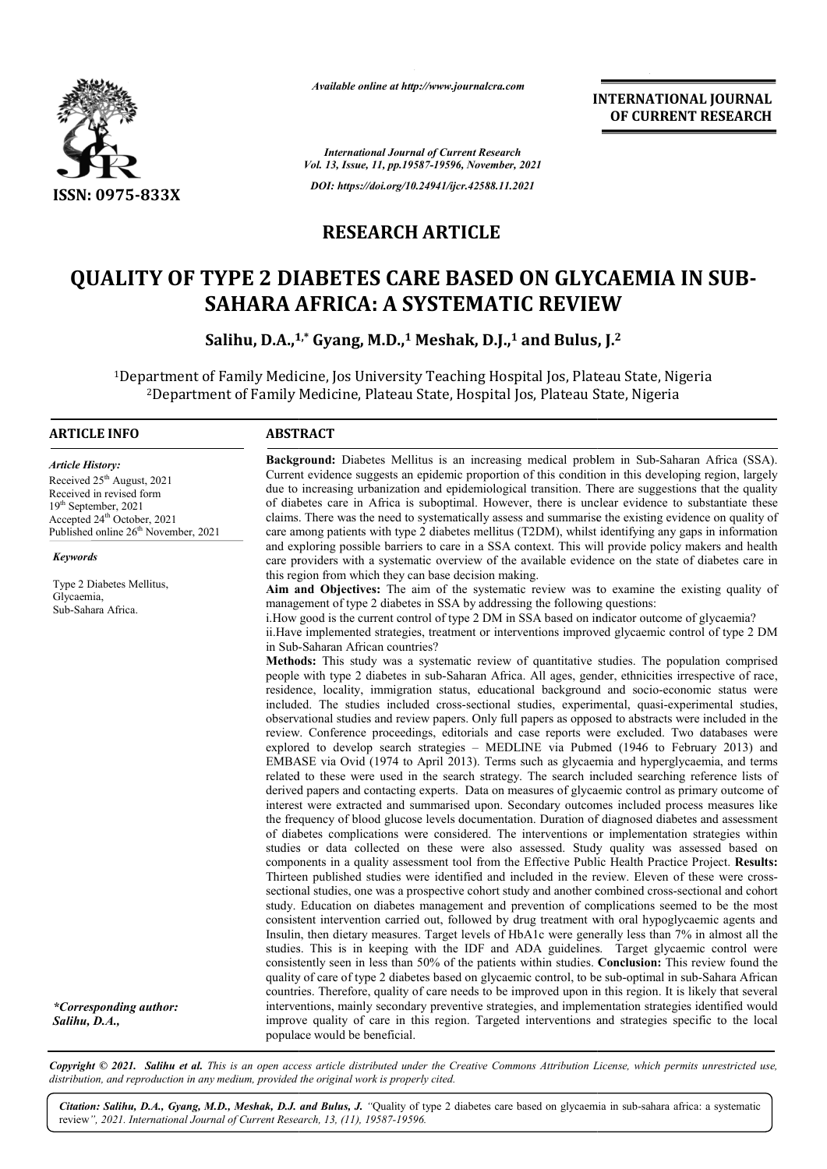

*Available online at http://www.journalcra.com*

**INTERNATIONAL JOURNAL OF CURRENT RESEARCH**

*International Journal of Current Research Vol. 13, Issue, 11, pp.19587-19596, November, 2021 DOI: https://doi.org/10.24941/ijcr.42588.11.2021*

### **RESEARCH ARTICLE**

# **QUALITY OF TYPE 2 DIABETES CARE BASED ON GLYCAEMIA TYPE 2 DIABETES IN SUB-SAHARA AFRICA: A SYSTEMATIC REVIEW**<br>Salihu, D.A.,<sup>1,\*</sup> Gyang, M.D.,<sup>1</sup> Meshak, D.J.,<sup>1</sup> and Bulus, J.<sup>2</sup>

**Salihu, D.A.,1 1,\* Gyang, M.D., <sup>1</sup> Meshak, D.J.,1 and Bulus, J.**

1Department of Family Medicine, Jos University Teaching Hospital Jos, Plateau State, Nigeria Department artment of Family Medicine, Jos University Teaching Hospital Jos, Plateau State, Ni<br><sup>2</sup>Department of Family Medicine, Plateau State, Hospital Jos, Plateau State, Nigeria

#### **ARTICLE INFO ABSTRACT**

*Article History: Article History:* Received 25<sup>th</sup> August, 2021 Received in revised form Received in revised form Received in revised form  $19<sup>th</sup> September, 2021$ Accepted 24<sup>th</sup> October, 2021 Published online 26<sup>th</sup> November, 2021

*Keywords*

Type 2 Diabetes Mellitus, Glycaemia, Sub-Sahara Africa.

*\*Corresponding author: Salihu, D.A.,*

Background: Diabetes Mellitus is an increasing medical problem in Sub-Saharan Africa (SSA). Current evidence suggests an epidemic proportion of this condition in this developing region, largely due to increasing urbanization and epidemiological transition. There are suggestions that the quality of diabetes care in Africa is suboptimal. However, there is unclear evidence to substantiate these claims. There was the need to systematically assess and summarise the existing evidence on quality of Current evidence suggests an epidemic proportion of this condition in this developing region, largely<br>due to increasing urbanization and epidemiological transition. There are suggestions that the quality<br>of diabetes care i and exploring possible barriers to care in a SSA context. This will provide policy makers and health care providers with a systematic overview of the available evidence on the state of diabetes care in this region from which they can base decision making. and exploring possible barriers to care in a SSA context. This will provide policy makers and health care providers with a systematic overview of the available evidence on the state of diabetes care in this region from whi

Aim and Objectives: The aim of the systematic review was to examine the existing quality of management of type 2 diabetes in SSA by addressing the following questions:

i. How good is the current control of type 2 DM in SSA based on indicator outcome of glycaemia? ii.Have implemented strategies, treatment or interventions improved glycaemic control of type 2 DM ii. Have implemented strategies, trons Sub-Saharan African countries?

people with type 2 diabetes in sub-Saharan Africa. All ages, gender, ethnicities irrespective of race, people with type 2 diabetes in sub-Saharan Africa. All ages, gender, ethnicities irrespective of race, residence, locality, immigration status, educational background and socio-economic status were included. The studies included cross-sectional studies, experimental, quasi-experimental studies, observational studies and review papers. Only full papers as opposed to abstracts were included in the review. Conference proceedings, editorials and case reports were excluded. Two databases were explored t to develop search strategies – MEDLINE via Pubmed (1946 to February 2013) and EMBASE via Ovid (1974 to April 2013). Terms such as glycaemia and hyperglycaemia, and terms related to these were used in the search strategy. The search included searching reference lists of derived papers and contacting experts. Data on measures of glycaemic control as primary outcome of interest were extracted and summarised upon. Secondary outcomes included process measures like the frequency of blood glucose levels documentat documentation. Duration of diagnosed diabetes and assessment of diabetes complications were considered. The interventions or implementation strategies within studies or data collected on these were also assessed. Study quality was assessed based on components in a q quality assessment tool from the Effective Public Health Practice Project. Thirteen published studies were identified and included in the review. Eleven of these were crosssectional studies, one was a prospective cohort study and another combined cross-sectional and cohort study. Education on diabetes management and prevention of complications seemed to be the most consistent intervention carried out, followed by drug treatment with oral hypoglycaemic agents and Insulin, then dietary measures. Target levels of HbA1c were generally less than 7% in almost all the studies. This is in keeping with the IDF and ADA guidelines. Target glycaemic control were consistently seen in less than 50% of the patients within studies. Conclusion: This review found the quality of care of type 2 diabetes based on glycaemic control, to be sub-optimal in sub-Sahara African countries. Therefore, quality of care needs to be improved upon in this region. It is likely that several interventions, mainly secondary preventive strategies, and implementation strategies identified would improve quality of care in this region. Targeted interventions and strategies specific to the local populace would be beneficial. observational studies and review papers. Only full papers as opposed to abstracts were included in the review. Conference proceedings, editorials and case reports were excluded. Two databases were explored to develop searc derived papers and contacting experts. Data on measures of glycaemic control as primary outcome of interest were extracted and summarised upon. Secondary outcomes included process measures like the frequency of blood gluco study. Education on diabetes management and prevention of complications seemed to be the most consistent intervention carried out, followed by drug treatment with oral hypoglycaemic agents and Insulin, then dietary measure countries. Therefore, quality of care needs to be improved upon in this region. It is likely that several<br>interventions, mainly secondary preventive strategies, and implementation strategies identified would<br>improve qualit

Copyright © 2021. Salihu et al. This is an open access article distributed under the Creative Commons Attribution License, which permits unrestricted use, *distribution, and reproduction in any medium, provided the original work is properly cited.*

Citation: Salihu, D.A., Gyang, M.D., Meshak, D.J. and Bulus, J. "Quality of type 2 diabetes care based on glycaemia in sub-sahara africa: a systematic review*", 2021. International Journal of Current Research, 13, (11), 19587-19596.*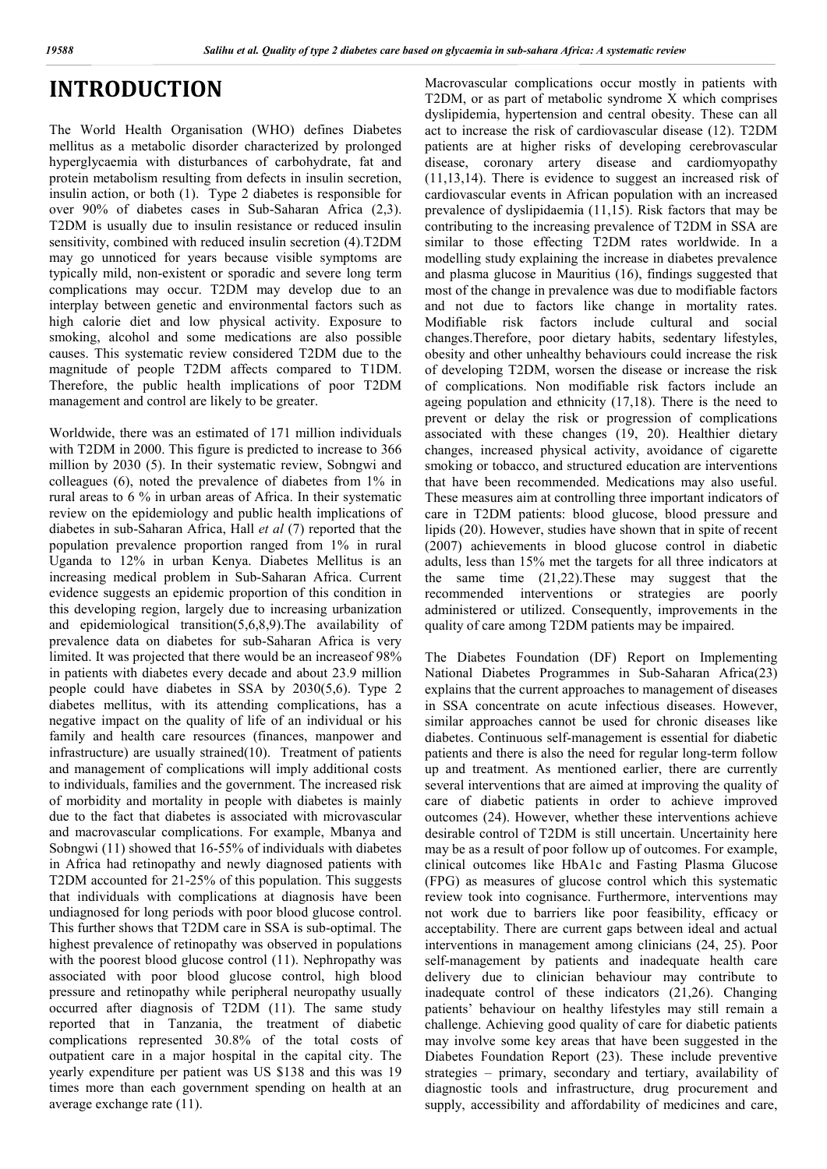### **INTRODUCTION**

The World Health Organisation (WHO) defines Diabetes mellitus as a metabolic disorder characterized by prolonged hyperglycaemia with disturbances of carbohydrate, fat and protein metabolism resulting from defects in insulin secretion, insulin action, or both (1). Type 2 diabetes is responsible for over 90% of diabetes cases in Sub-Saharan Africa (2,3). T2DM is usually due to insulin resistance or reduced insulin sensitivity, combined with reduced insulin secretion (4).T2DM may go unnoticed for years because visible symptoms are typically mild, non-existent or sporadic and severe long term complications may occur. T2DM may develop due to an interplay between genetic and environmental factors such as high calorie diet and low physical activity. Exposure to smoking, alcohol and some medications are also possible causes. This systematic review considered T2DM due to the magnitude of people T2DM affects compared to T1DM. Therefore, the public health implications of poor T2DM management and control are likely to be greater.

Worldwide, there was an estimated of 171 million individuals with T2DM in 2000. This figure is predicted to increase to 366 million by 2030 (5). In their systematic review, Sobngwi and colleagues (6), noted the prevalence of diabetes from 1% in rural areas to 6 % in urban areas of Africa. In their systematic review on the epidemiology and public health implications of diabetes in sub-Saharan Africa, Hall *et al* (7) reported that the population prevalence proportion ranged from 1% in rural Uganda to 12% in urban Kenya. Diabetes Mellitus is an increasing medical problem in Sub-Saharan Africa. Current evidence suggests an epidemic proportion of this condition in this developing region, largely due to increasing urbanization and epidemiological transition(5,6,8,9).The availability of prevalence data on diabetes for sub-Saharan Africa is very limited. It was projected that there would be an increaseof 98% in patients with diabetes every decade and about 23.9 million people could have diabetes in SSA by 2030(5,6). Type 2 diabetes mellitus, with its attending complications, has a negative impact on the quality of life of an individual or his family and health care resources (finances, manpower and infrastructure) are usually strained(10). Treatment of patients and management of complications will imply additional costs to individuals, families and the government. The increased risk of morbidity and mortality in people with diabetes is mainly due to the fact that diabetes is associated with microvascular and macrovascular complications. For example, Mbanya and Sobngwi (11) showed that 16-55% of individuals with diabetes in Africa had retinopathy and newly diagnosed patients with T2DM accounted for 21-25% of this population. This suggests that individuals with complications at diagnosis have been undiagnosed for long periods with poor blood glucose control. This further shows that T2DM care in SSA is sub-optimal. The highest prevalence of retinopathy was observed in populations with the poorest blood glucose control (11). Nephropathy was associated with poor blood glucose control, high blood pressure and retinopathy while peripheral neuropathy usually occurred after diagnosis of T2DM (11). The same study reported that in Tanzania, the treatment of diabetic complications represented 30.8% of the total costs of outpatient care in a major hospital in the capital city. The yearly expenditure per patient was US \$138 and this was 19 times more than each government spending on health at an average exchange rate (11).

Macrovascular complications occur mostly in patients with T2DM, or as part of metabolic syndrome X which comprises dyslipidemia, hypertension and central obesity. These can all act to increase the risk of cardiovascular disease (12). T2DM patients are at higher risks of developing cerebrovascular disease, coronary artery disease and cardiomyopathy (11,13,14). There is evidence to suggest an increased risk of cardiovascular events in African population with an increased prevalence of dyslipidaemia (11,15). Risk factors that may be contributing to the increasing prevalence of T2DM in SSA are similar to those effecting T2DM rates worldwide. In a modelling study explaining the increase in diabetes prevalence and plasma glucose in Mauritius (16), findings suggested that most of the change in prevalence was due to modifiable factors and not due to factors like change in mortality rates. Modifiable risk factors include cultural and social changes.Therefore, poor dietary habits, sedentary lifestyles, obesity and other unhealthy behaviours could increase the risk of developing T2DM, worsen the disease or increase the risk of complications. Non modifiable risk factors include an ageing population and ethnicity (17,18). There is the need to prevent or delay the risk or progression of complications associated with these changes (19, 20). Healthier dietary changes, increased physical activity, avoidance of cigarette smoking or tobacco, and structured education are interventions that have been recommended. Medications may also useful. These measures aim at controlling three important indicators of care in T2DM patients: blood glucose, blood pressure and lipids (20). However, studies have shown that in spite of recent (2007) achievements in blood glucose control in diabetic adults, less than 15% met the targets for all three indicators at the same time (21,22).These may suggest that the recommended interventions or strategies are poorly administered or utilized. Consequently, improvements in the quality of care among T2DM patients may be impaired.

The Diabetes Foundation (DF) Report on Implementing National Diabetes Programmes in Sub-Saharan Africa(23) explains that the current approaches to management of diseases in SSA concentrate on acute infectious diseases. However, similar approaches cannot be used for chronic diseases like diabetes. Continuous self-management is essential for diabetic patients and there is also the need for regular long-term follow up and treatment. As mentioned earlier, there are currently several interventions that are aimed at improving the quality of care of diabetic patients in order to achieve improved outcomes (24). However, whether these interventions achieve desirable control of T2DM is still uncertain. Uncertainity here may be as a result of poor follow up of outcomes. For example, clinical outcomes like HbA1c and Fasting Plasma Glucose (FPG) as measures of glucose control which this systematic review took into cognisance. Furthermore, interventions may not work due to barriers like poor feasibility, efficacy or acceptability. There are current gaps between ideal and actual interventions in management among clinicians (24, 25). Poor self-management by patients and inadequate health care delivery due to clinician behaviour may contribute to inadequate control of these indicators (21,26). Changing patients' behaviour on healthy lifestyles may still remain a challenge. Achieving good quality of care for diabetic patients may involve some key areas that have been suggested in the Diabetes Foundation Report (23). These include preventive strategies – primary, secondary and tertiary, availability of diagnostic tools and infrastructure, drug procurement and supply, accessibility and affordability of medicines and care,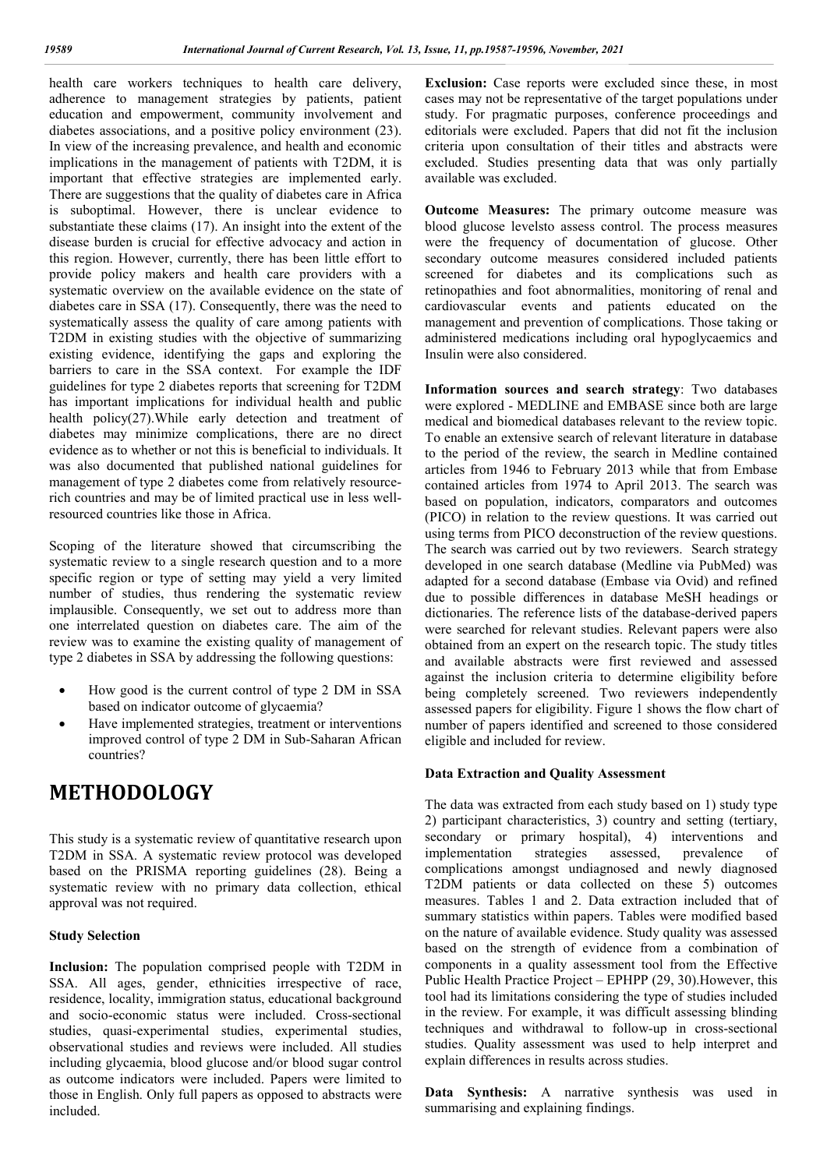health care workers techniques to health care delivery, adherence to management strategies by patients, patient education and empowerment, community involvement and diabetes associations, and a positive policy environment (23). In view of the increasing prevalence, and health and economic implications in the management of patients with T2DM, it is important that effective strategies are implemented early. There are suggestions that the quality of diabetes care in Africa is suboptimal. However, there is unclear evidence to substantiate these claims (17). An insight into the extent of the disease burden is crucial for effective advocacy and action in this region. However, currently, there has been little effort to provide policy makers and health care providers with a systematic overview on the available evidence on the state of diabetes care in SSA (17). Consequently, there was the need to systematically assess the quality of care among patients with T2DM in existing studies with the objective of summarizing existing evidence, identifying the gaps and exploring the barriers to care in the SSA context. For example the IDF guidelines for type 2 diabetes reports that screening for T2DM has important implications for individual health and public health policy(27).While early detection and treatment of diabetes may minimize complications, there are no direct evidence as to whether or not this is beneficial to individuals. It was also documented that published national guidelines for management of type 2 diabetes come from relatively resourcerich countries and may be of limited practical use in less wellresourced countries like those in Africa.

Scoping of the literature showed that circumscribing the systematic review to a single research question and to a more specific region or type of setting may yield a very limited number of studies, thus rendering the systematic review implausible. Consequently, we set out to address more than one interrelated question on diabetes care. The aim of the review was to examine the existing quality of management of type 2 diabetes in SSA by addressing the following questions:

- How good is the current control of type 2 DM in SSA based on indicator outcome of glycaemia?
- Have implemented strategies, treatment or interventions improved control of type 2 DM in Sub-Saharan African countries?

### **METHODOLOGY**

This study is a systematic review of quantitative research upon T2DM in SSA. A systematic review protocol was developed based on the PRISMA reporting guidelines (28). Being a systematic review with no primary data collection, ethical approval was not required.

#### **Study Selection**

**Inclusion:** The population comprised people with T2DM in SSA. All ages, gender, ethnicities irrespective of race, residence, locality, immigration status, educational background and socio-economic status were included. Cross-sectional studies, quasi-experimental studies, experimental studies, observational studies and reviews were included. All studies including glycaemia, blood glucose and/or blood sugar control as outcome indicators were included. Papers were limited to those in English. Only full papers as opposed to abstracts were included.

**Exclusion:** Case reports were excluded since these, in most cases may not be representative of the target populations under study. For pragmatic purposes, conference proceedings and editorials were excluded. Papers that did not fit the inclusion criteria upon consultation of their titles and abstracts were excluded. Studies presenting data that was only partially available was excluded.

**Outcome Measures:** The primary outcome measure was blood glucose levelsto assess control. The process measures were the frequency of documentation of glucose. Other secondary outcome measures considered included patients screened for diabetes and its complications such as retinopathies and foot abnormalities, monitoring of renal and cardiovascular events and patients educated on the management and prevention of complications. Those taking or administered medications including oral hypoglycaemics and Insulin were also considered.

**Information sources and search strategy**: Two databases were explored - MEDLINE and EMBASE since both are large medical and biomedical databases relevant to the review topic. To enable an extensive search of relevant literature in database to the period of the review, the search in Medline contained articles from 1946 to February 2013 while that from Embase contained articles from 1974 to April 2013. The search was based on population, indicators, comparators and outcomes (PICO) in relation to the review questions. It was carried out using terms from PICO deconstruction of the review questions. The search was carried out by two reviewers. Search strategy developed in one search database (Medline via PubMed) was adapted for a second database (Embase via Ovid) and refined due to possible differences in database MeSH headings or dictionaries. The reference lists of the database-derived papers were searched for relevant studies. Relevant papers were also obtained from an expert on the research topic. The study titles and available abstracts were first reviewed and assessed against the inclusion criteria to determine eligibility before being completely screened. Two reviewers independently assessed papers for eligibility. Figure 1 shows the flow chart of number of papers identified and screened to those considered eligible and included for review.

#### **Data Extraction and Quality Assessment**

The data was extracted from each study based on 1) study type 2) participant characteristics, 3) country and setting (tertiary, secondary or primary hospital), 4) interventions and implementation strategies assessed, prevalence of complications amongst undiagnosed and newly diagnosed T2DM patients or data collected on these 5) outcomes measures. Tables 1 and 2. Data extraction included that of summary statistics within papers. Tables were modified based on the nature of available evidence. Study quality was assessed based on the strength of evidence from a combination of components in a quality assessment tool from the Effective Public Health Practice Project – EPHPP (29, 30).However, this tool had its limitations considering the type of studies included in the review. For example, it was difficult assessing blinding techniques and withdrawal to follow-up in cross-sectional studies. Quality assessment was used to help interpret and explain differences in results across studies.

**Data Synthesis:** A narrative synthesis was used in summarising and explaining findings.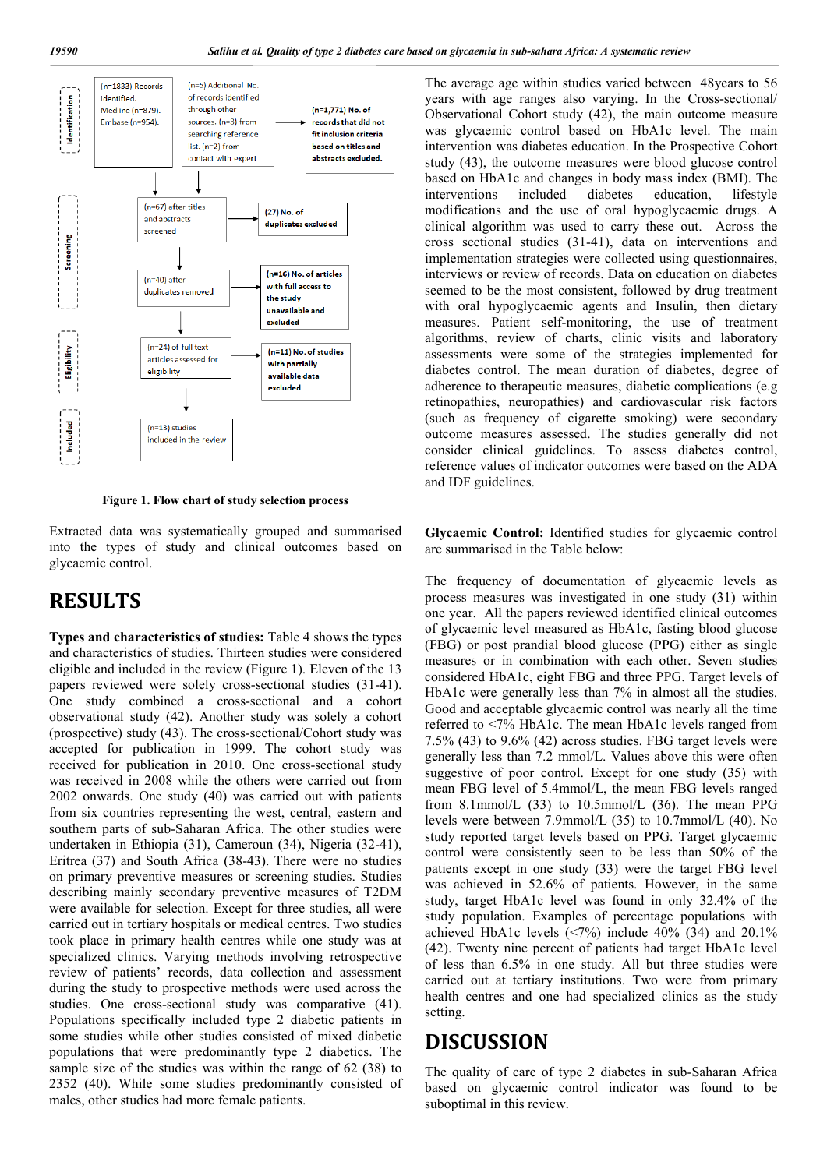

**Figure 1. Flow chart of study selection process**

Extracted data was systematically grouped and summarised into the types of study and clinical outcomes based on glycaemic control.

### **RESULTS**

**Types and characteristics of studies:** Table 4 shows the types and characteristics of studies. Thirteen studies were considered eligible and included in the review (Figure 1). Eleven of the 13 papers reviewed were solely cross-sectional studies (31-41). One study combined a cross-sectional and a cohort observational study (42). Another study was solely a cohort (prospective) study (43). The cross-sectional/Cohort study was accepted for publication in 1999. The cohort study was received for publication in 2010. One cross-sectional study was received in 2008 while the others were carried out from 2002 onwards. One study (40) was carried out with patients from six countries representing the west, central, eastern and southern parts of sub-Saharan Africa. The other studies were undertaken in Ethiopia (31), Cameroun (34), Nigeria (32-41), Eritrea (37) and South Africa (38-43). There were no studies on primary preventive measures or screening studies. Studies describing mainly secondary preventive measures of T2DM were available for selection. Except for three studies, all were carried out in tertiary hospitals or medical centres. Two studies took place in primary health centres while one study was at specialized clinics. Varying methods involving retrospective review of patients' records, data collection and assessment during the study to prospective methods were used across the studies. One cross-sectional study was comparative (41). Populations specifically included type 2 diabetic patients in some studies while other studies consisted of mixed diabetic populations that were predominantly type 2 diabetics. The sample size of the studies was within the range of 62 (38) to 2352 (40). While some studies predominantly consisted of males, other studies had more female patients.

The average age within studies varied between 48years to 56 years with age ranges also varying. In the Cross-sectional/ Observational Cohort study (42), the main outcome measure was glycaemic control based on HbA1c level. The main intervention was diabetes education. In the Prospective Cohort study (43), the outcome measures were blood glucose control based on HbA1c and changes in body mass index (BMI). The interventions included diabetes education, lifestyle modifications and the use of oral hypoglycaemic drugs. A clinical algorithm was used to carry these out. Across the cross sectional studies (31-41), data on interventions and implementation strategies were collected using questionnaires, interviews or review of records. Data on education on diabetes seemed to be the most consistent, followed by drug treatment with oral hypoglycaemic agents and Insulin, then dietary measures. Patient self-monitoring, the use of treatment algorithms, review of charts, clinic visits and laboratory assessments were some of the strategies implemented for diabetes control. The mean duration of diabetes, degree of adherence to therapeutic measures, diabetic complications (e.g retinopathies, neuropathies) and cardiovascular risk factors (such as frequency of cigarette smoking) were secondary outcome measures assessed. The studies generally did not consider clinical guidelines. To assess diabetes control, reference values of indicator outcomes were based on the ADA and IDF guidelines.

**Glycaemic Control:** Identified studies for glycaemic control are summarised in the Table below:

The frequency of documentation of glycaemic levels as process measures was investigated in one study (31) within one year. All the papers reviewed identified clinical outcomes of glycaemic level measured as HbA1c, fasting blood glucose (FBG) or post prandial blood glucose (PPG) either as single measures or in combination with each other. Seven studies considered HbA1c, eight FBG and three PPG. Target levels of HbA1c were generally less than 7% in almost all the studies. Good and acceptable glycaemic control was nearly all the time referred to <7% HbA1c. The mean HbA1c levels ranged from 7.5% (43) to 9.6% (42) across studies. FBG target levels were generally less than 7.2 mmol/L. Values above this were often suggestive of poor control. Except for one study (35) with mean FBG level of 5.4mmol/L, the mean FBG levels ranged from 8.1mmol/L  $(33)$  to 10.5mmol/L  $(36)$ . The mean PPG levels were between 7.9mmol/L (35) to 10.7mmol/L (40). No study reported target levels based on PPG. Target glycaemic control were consistently seen to be less than 50% of the patients except in one study (33) were the target FBG level was achieved in 52.6% of patients. However, in the same study, target HbA1c level was found in only 32.4% of the study population. Examples of percentage populations with achieved HbA1c levels (<7%) include 40% (34) and 20.1% (42). Twenty nine percent of patients had target HbA1c level of less than 6.5% in one study. All but three studies were carried out at tertiary institutions. Two were from primary health centres and one had specialized clinics as the study setting.

### **DISCUSSION**

The quality of care of type 2 diabetes in sub-Saharan Africa based on glycaemic control indicator was found to be suboptimal in this review.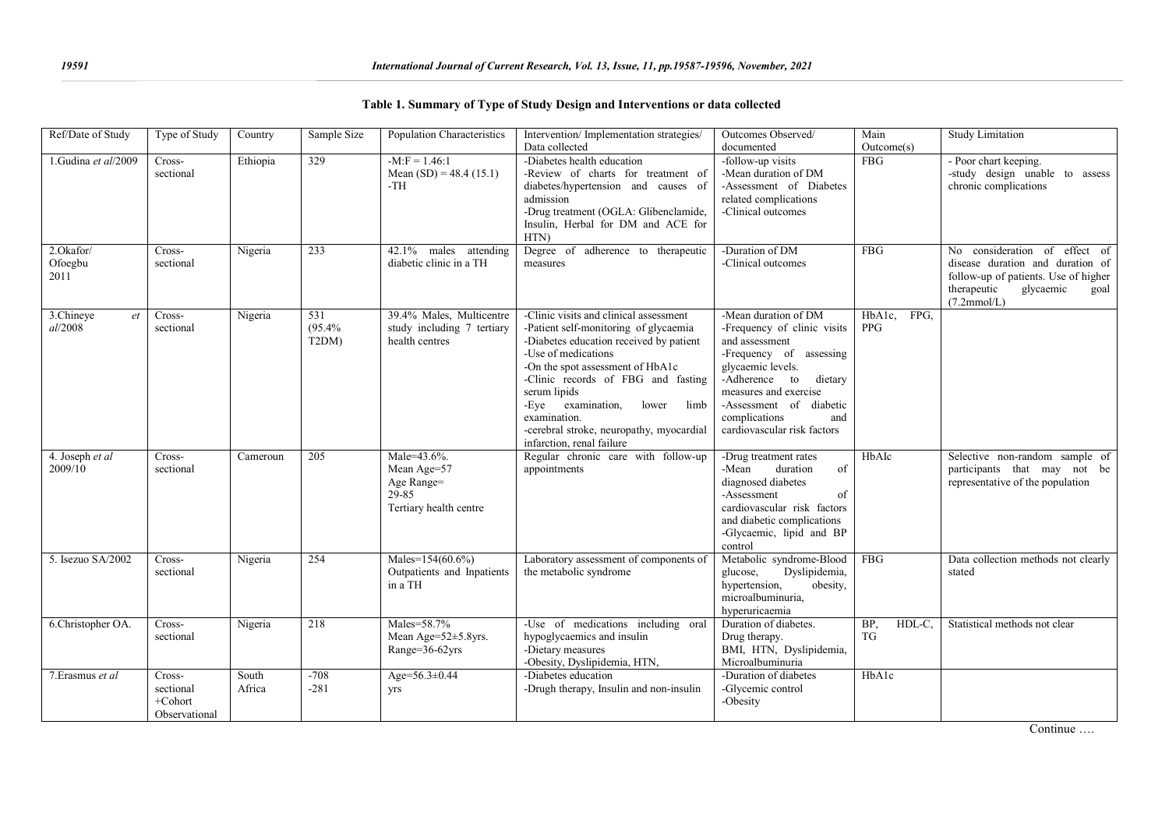| Ref/Date of Study            | Type of Study                                      | Country         | Sample Size                         | Population Characteristics                                                  | Intervention/Implementation strategies/<br>Data collected                                                                                                                                                                                                                                                                                                                  | Outcomes Observed/<br>documented                                                                                                                                                                                                                             | Main<br>Outcome(s)           | <b>Study Limitation</b>                                                                                                                                      |
|------------------------------|----------------------------------------------------|-----------------|-------------------------------------|-----------------------------------------------------------------------------|----------------------------------------------------------------------------------------------------------------------------------------------------------------------------------------------------------------------------------------------------------------------------------------------------------------------------------------------------------------------------|--------------------------------------------------------------------------------------------------------------------------------------------------------------------------------------------------------------------------------------------------------------|------------------------------|--------------------------------------------------------------------------------------------------------------------------------------------------------------|
| 1.Gudina et al/2009          | Cross-<br>sectional                                | Ethiopia        | 329                                 | $-M:$ F = 1.46:1<br>Mean $(SD) = 48.4 (15.1)$<br>$-TH$                      | -Diabetes health education<br>-Review of charts for treatment of<br>diabetes/hypertension and causes of<br>admission<br>-Drug treatment (OGLA: Glibenclamide,<br>Insulin, Herbal for DM and ACE for<br>HTN)                                                                                                                                                                | -follow-up visits<br>-Mean duration of DM<br>-Assessment of Diabetes<br>related complications<br>-Clinical outcomes                                                                                                                                          | <b>FBG</b>                   | - Poor chart keeping.<br>-study design unable to assess<br>chronic complications                                                                             |
| 2.Okafor/<br>Ofoegbu<br>2011 | Cross-<br>sectional                                | Nigeria         | 233                                 | $42.1\%$<br>males attending<br>diabetic clinic in a TH                      | Degree of adherence to therapeutic<br>measures                                                                                                                                                                                                                                                                                                                             | -Duration of DM<br>-Clinical outcomes                                                                                                                                                                                                                        | FBG                          | No consideration of effect of<br>disease duration and duration of<br>follow-up of patients. Use of higher<br>therapeutic<br>glycaemic<br>goal<br>(7.2mmol/L) |
| 3.Chineye<br>et<br>al/2008   | Cross-<br>sectional                                | Nigeria         | 531<br>(95.4%<br>T <sub>2</sub> DM) | 39.4% Males, Multicentre<br>study including 7 tertiary<br>health centres    | -Clinic visits and clinical assessment<br>-Patient self-monitoring of glycaemia<br>-Diabetes education received by patient<br>-Use of medications<br>-On the spot assessment of HbA1c<br>-Clinic records of FBG and fasting<br>serum lipids<br>-Eye examination,<br>lower<br>limb<br>examination.<br>-cerebral stroke, neuropathy, myocardial<br>infarction, renal failure | -Mean duration of DM<br>-Frequency of clinic visits<br>and assessment<br>-Frequency of assessing<br>glycaemic levels.<br>-Adherence to<br>dietary<br>measures and exercise<br>-Assessment of diabetic<br>complications<br>and<br>cardiovascular risk factors | HbA1c,<br>FPG.<br><b>PPG</b> |                                                                                                                                                              |
| 4. Joseph et al<br>2009/10   | Cross-<br>sectional                                | Cameroun        | 205                                 | Male=43.6%.<br>Mean Age=57<br>Age Range=<br>29-85<br>Tertiary health centre | Regular chronic care with follow-up<br>appointments                                                                                                                                                                                                                                                                                                                        | -Drug treatment rates<br>duration<br>-Mean<br>of<br>diagnosed diabetes<br>-Assessment<br>of<br>cardiovascular risk factors<br>and diabetic complications<br>-Glycaemic, lipid and BP<br>control                                                              | HbAIc                        | Selective non-random sample of<br>participants that may not be<br>representative of the population                                                           |
| 5. Isezuo SA/2002            | Cross-<br>sectional                                | Nigeria         | 254                                 | Males=154(60.6%)<br>Outpatients and Inpatients<br>in a TH                   | Laboratory assessment of components of<br>the metabolic syndrome                                                                                                                                                                                                                                                                                                           | Metabolic syndrome-Blood<br>Dyslipidemia,<br>glucose,<br>hypertension,<br>obesity,<br>microalbuminuria,<br>hyperuricaemia                                                                                                                                    | FBG                          | Data collection methods not clearly<br>stated                                                                                                                |
| 6.Christopher OA.            | Cross-<br>sectional                                | Nigeria         | 218                                 | Males=58.7%<br>Mean Age=52±5.8yrs.<br>Range=36-62yrs                        | -Use of medications including oral<br>hypoglycaemics and insulin<br>-Dietary measures<br>-Obesity, Dyslipidemia, HTN,                                                                                                                                                                                                                                                      | Duration of diabetes.<br>Drug therapy.<br>BMI, HTN, Dyslipidemia,<br>Microalbuminuria                                                                                                                                                                        | BP,<br>HDL-C,<br>TG          | Statistical methods not clear                                                                                                                                |
| 7. Erasmus et al             | Cross-<br>sectional<br>$+$ Cohort<br>Observational | South<br>Africa | $-708$<br>$-281$                    | Age=56.3±0.44<br>yrs                                                        | -Diabetes education<br>-Drugh therapy, Insulin and non-insulin                                                                                                                                                                                                                                                                                                             | -Duration of diabetes<br>-Glycemic control<br>-Obesity                                                                                                                                                                                                       | HbAlc                        |                                                                                                                                                              |

|  |  |  |  |  | Table 1. Summary of Type of Study Design and Interventions or data collected |  |  |
|--|--|--|--|--|------------------------------------------------------------------------------|--|--|
|--|--|--|--|--|------------------------------------------------------------------------------|--|--|

Continue ….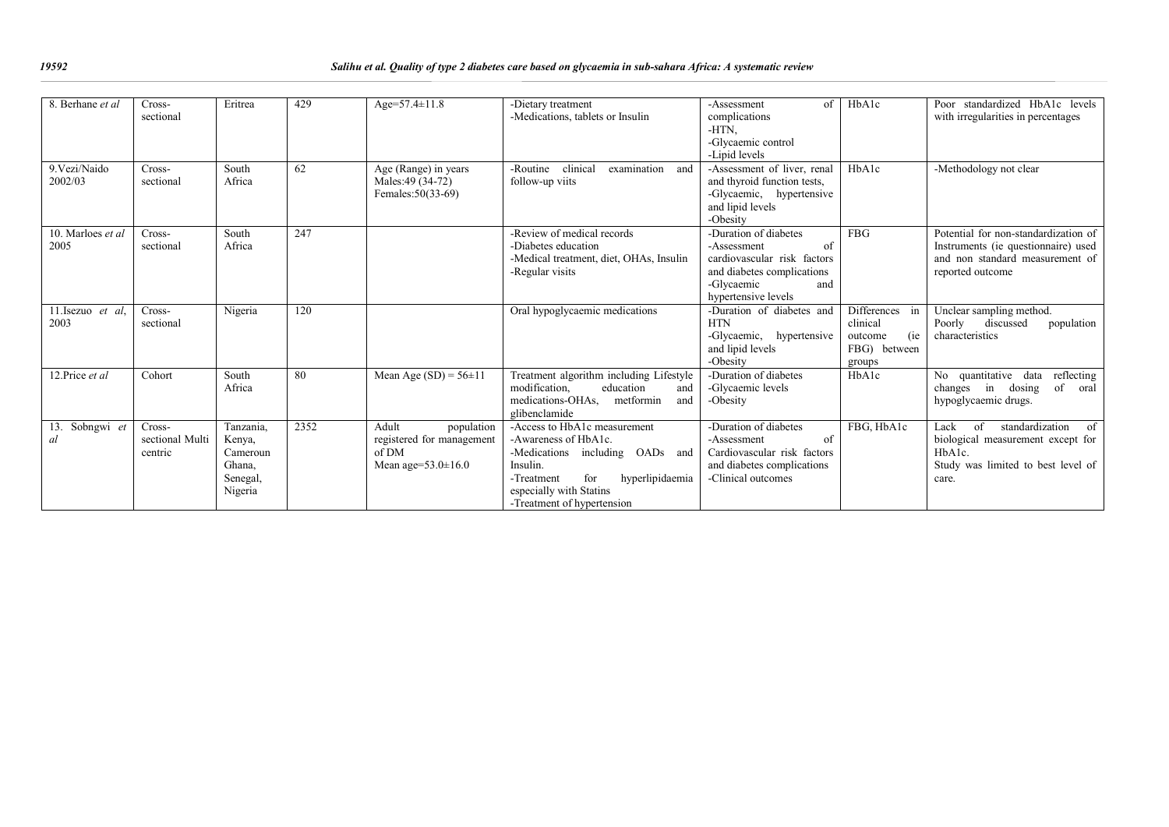| 8. Berhane et al.         | Cross-<br>sectional                  | Eritrea                                                          | 429  | Age= $57.4 \pm 11.8$                                                                   | -Dietary treatment<br>-Medications, tablets or Insulin                                                                                                                                               | of<br>-Assessment<br>complications<br>-HTN,<br>-Glycaemic control<br>-Lipid levels                                                                  | HbAlc                                                                  | Poor standardized HbA1c levels<br>with irregularities in percentages                                                                              |
|---------------------------|--------------------------------------|------------------------------------------------------------------|------|----------------------------------------------------------------------------------------|------------------------------------------------------------------------------------------------------------------------------------------------------------------------------------------------------|-----------------------------------------------------------------------------------------------------------------------------------------------------|------------------------------------------------------------------------|---------------------------------------------------------------------------------------------------------------------------------------------------|
| 9. Vezi/Naido<br>2002/03  | Cross-<br>sectional                  | South<br>Africa                                                  | 62   | Age (Range) in years<br>Males: 49 (34-72)<br>Females: 50(33-69)                        | clinical<br>-Routine<br>examination<br>and<br>follow-up viits                                                                                                                                        | -Assessment of liver, renal<br>and thyroid function tests,<br>-Glycaemic, hypertensive<br>and lipid levels<br>-Obesity                              | HbAlc                                                                  | -Methodology not clear                                                                                                                            |
| 10. Marloes et al<br>2005 | Cross-<br>sectional                  | South<br>Africa                                                  | 247  |                                                                                        | -Review of medical records<br>-Diabetes education<br>-Medical treatment, diet, OHAs, Insulin<br>-Regular visits                                                                                      | -Duration of diabetes<br>of<br>-Assessment<br>cardiovascular risk factors<br>and diabetes complications<br>-Glycaemic<br>and<br>hypertensive levels | <b>FBG</b>                                                             | Potential for non-standardization of<br>Instruments (ie questionnaire) used<br>and non standard measurement of<br>reported outcome                |
| 11. Isezuo et al.<br>2003 | Cross-<br>sectional                  | Nigeria                                                          | 120  |                                                                                        | Oral hypoglycaemic medications                                                                                                                                                                       | -Duration of diabetes and<br><b>HTN</b><br>-Glycaemic, hypertensive<br>and lipid levels<br>-Obesity                                                 | Differences in<br>clinical<br>(ie<br>outcome<br>FBG) between<br>groups | Unclear sampling method.<br>Poorly<br>discussed<br>population<br>characteristics                                                                  |
| 12.Price et al            | Cohort                               | South<br>Africa                                                  | 80   | Mean Age $(SD) = 56 \pm 11$                                                            | Treatment algorithm including Lifestyle<br>modification.<br>education<br>and<br>medications-OHAs,<br>metformin<br>and<br>glibenclamide                                                               | -Duration of diabetes<br>-Glycaemic levels<br>-Obesity                                                                                              | HbAlc                                                                  | No quantitative data reflecting<br>changes in dosing<br>of<br>oral<br>hypoglycaemic drugs.                                                        |
| Sobngwi et<br>13.<br>al   | Cross-<br>sectional Multi<br>centric | Tanzania,<br>Kenya,<br>Cameroun<br>Ghana.<br>Senegal,<br>Nigeria | 2352 | Adult<br>population<br>registered for management<br>of DM<br>Mean age= $53.0 \pm 16.0$ | -Access to HbA1c measurement<br>-Awareness of HbA1c.<br>-Medications including OADs and<br>Insulin.<br>for<br>hyperlipidaemia<br>-Treatment<br>especially with Statins<br>-Treatment of hypertension | -Duration of diabetes<br>of<br>-Assessment<br>Cardiovascular risk factors<br>and diabetes complications<br>-Clinical outcomes                       | FBG, HbAlc                                                             | standardization<br>Lack<br>$\alpha$ f<br>$\circ$ of<br>biological measurement except for<br>HbA1c.<br>Study was limited to best level of<br>care. |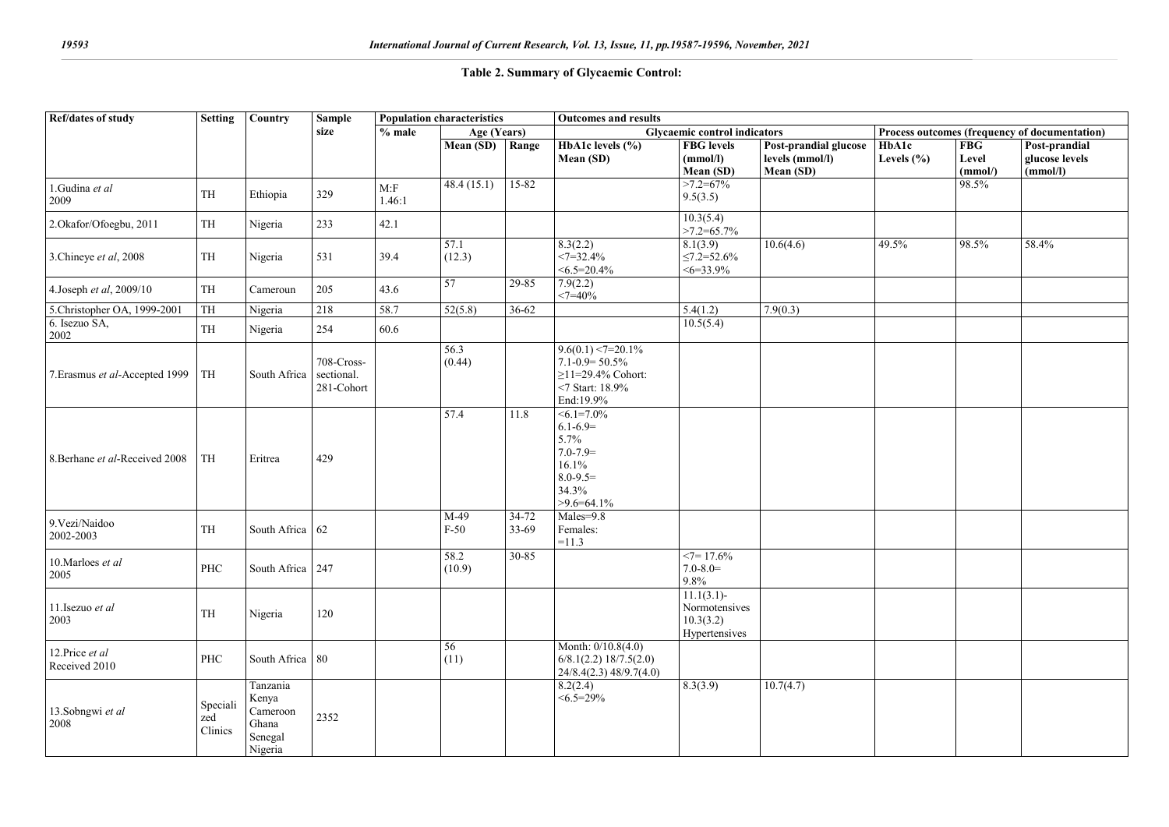### **Table 2. Summary of Glycaemic Control:**

| Ref/dates of study              | <b>Setting</b>             | Country                                                      | <b>Sample</b>                          | <b>Population characteristics</b> |                | <b>Outcomes and results</b> |                                                                                                              |                                                              |                                                       |                                               |                               |                                             |
|---------------------------------|----------------------------|--------------------------------------------------------------|----------------------------------------|-----------------------------------|----------------|-----------------------------|--------------------------------------------------------------------------------------------------------------|--------------------------------------------------------------|-------------------------------------------------------|-----------------------------------------------|-------------------------------|---------------------------------------------|
|                                 |                            |                                                              | size                                   | $%$ male                          | Age (Years)    |                             | Glycaemic control indicators                                                                                 |                                                              |                                                       | Process outcomes (frequency of documentation) |                               |                                             |
|                                 |                            |                                                              |                                        |                                   | Mean (SD)      | Range                       | <b>HbA1c</b> levels $(\%)$<br>Mean (SD)                                                                      | <b>FBG</b> levels<br>(mmol/l)<br>Mean (SD)                   | Post-prandial glucose<br>levels (mmol/l)<br>Mean (SD) | <b>HbA1c</b><br>Levels $(\% )$                | <b>FBG</b><br>Level<br>(mmol) | Post-prandial<br>glucose levels<br>(mmol/l) |
| 1.Gudina et al<br>2009          | $\ensuremath{\mathsf{TH}}$ | Ethiopia                                                     | 329                                    | M: F<br>1.46:1                    | 48.4(15.1)     | $15 - 82$                   |                                                                                                              | $>7.2=67\%$<br>9.5(3.5)                                      |                                                       |                                               | 98.5%                         |                                             |
| 2.Okafor/Ofoegbu, 2011          | TH                         | Nigeria                                                      | 233                                    | 42.1                              |                |                             |                                                                                                              | 10.3(5.4)<br>$>7.2=65.7\%$                                   |                                                       |                                               |                               |                                             |
| 3.Chineye et al, 2008           | $\ensuremath{\mathsf{TH}}$ | Nigeria                                                      | 531                                    | 39.4                              | 57.1<br>(12.3) |                             | 8.3(2.2)<br>$\leq$ 7=32.4%<br>$<6.5=20.4\%$                                                                  | 8.1(3.9)<br>$\leq$ 7.2=52.6%<br>$<6=33.9\%$                  | 10.6(4.6)                                             | 49.5%                                         | 98.5%                         | 58.4%                                       |
| 4.Joseph et al, 2009/10         | TH                         | Cameroun                                                     | 205                                    | 43.6                              | 57             | $29 - 85$                   | 7.9(2.2)<br>$<7 = 40%$                                                                                       |                                                              |                                                       |                                               |                               |                                             |
| 5.Christopher OA, 1999-2001     | TH                         | Nigeria                                                      | 218                                    | 58.7                              | 52(5.8)        | 36-62                       |                                                                                                              | 5.4(1.2)                                                     | 7.9(0.3)                                              |                                               |                               |                                             |
| 6. Isezuo SA,<br>2002           | TH                         | Nigeria                                                      | 254                                    | 60.6                              |                |                             |                                                                                                              | 10.5(5.4)                                                    |                                                       |                                               |                               |                                             |
| 7. Erasmus et al-Accepted 1999  | TH                         | South Africa                                                 | 708-Cross-<br>sectional.<br>281-Cohort |                                   | 56.3<br>(0.44) |                             | $9.6(0.1) < 7 = 20.1\%$<br>$7.1 - 0.9 = 50.5\%$<br>$≥11=29.4%$ Cohort:<br><7 Start: 18.9%<br>End:19.9%       |                                                              |                                                       |                                               |                               |                                             |
| 8. Berhane et al-Received 2008  | TH                         | Eritrea                                                      | 429                                    |                                   | 57.4           | 11.8                        | $56.1 = 7.0\%$<br>$6.1 - 6.9 =$<br>5.7%<br>$7.0 - 7.9 =$<br>16.1%<br>$8.0 - 9.5 =$<br>34.3%<br>$>9.6=64.1\%$ |                                                              |                                                       |                                               |                               |                                             |
| 9. Vezi/Naidoo<br>2002-2003     | TH                         | South Africa 62                                              |                                        |                                   | M-49<br>$F-50$ | 34-72<br>33-69              | Males=9.8<br>Females:<br>$=11.3$                                                                             |                                                              |                                                       |                                               |                               |                                             |
| 10. Marloes et al<br>2005       | PHC                        | South Africa 247                                             |                                        |                                   | 58.2<br>(10.9) | $30 - 85$                   |                                                                                                              | $\leq$ 7=17.6%<br>$7.0 - 8.0 =$<br>9.8%                      |                                                       |                                               |                               |                                             |
| 11.Isezuo et al<br>2003         | TH                         | Nigeria                                                      | 120                                    |                                   |                |                             |                                                                                                              | $11.1(3.1)$ -<br>Normotensives<br>10.3(3.2)<br>Hypertensives |                                                       |                                               |                               |                                             |
| 12.Price et al<br>Received 2010 | PHC                        | South Africa 80                                              |                                        |                                   | 56<br>(11)     |                             | Month: 0/10.8(4.0)<br>$6/8.1(2.2)$ 18/7.5(2.0)<br>$24/8.4(2.3)$ 48/9.7(4.0)                                  |                                                              |                                                       |                                               |                               |                                             |
| 13.Sobngwi et al<br>2008        | Speciali<br>zed<br>Clinics | Tanzania<br>Kenya<br>Cameroon<br>Ghana<br>Senegal<br>Nigeria | 2352                                   |                                   |                |                             | 8.2(2.4)<br>$<6.5=29\%$                                                                                      | 8.3(3.9)                                                     | 10.7(4.7)                                             |                                               |                               |                                             |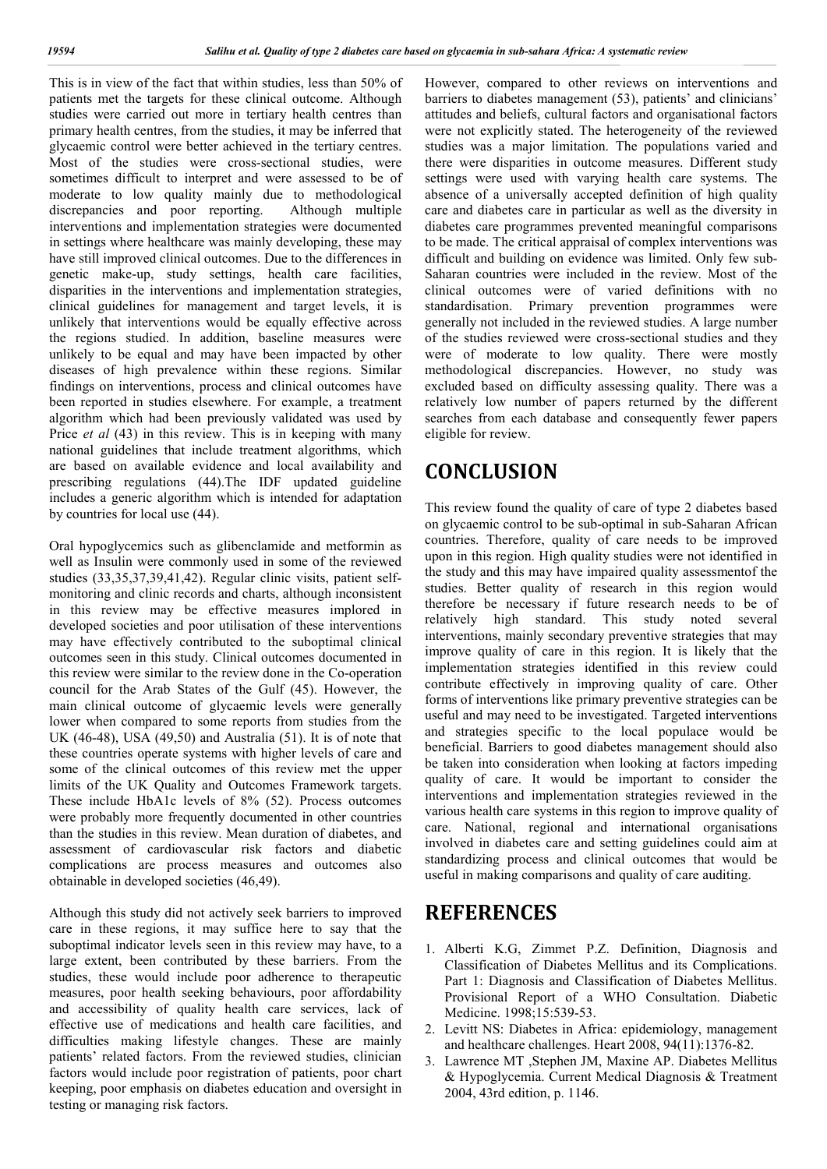This is in view of the fact that within studies, less than 50% of patients met the targets for these clinical outcome. Although studies were carried out more in tertiary health centres than primary health centres, from the studies, it may be inferred that glycaemic control were better achieved in the tertiary centres. Most of the studies were cross-sectional studies, were sometimes difficult to interpret and were assessed to be of moderate to low quality mainly due to methodological discrepancies and poor reporting. Although multiple interventions and implementation strategies were documented in settings where healthcare was mainly developing, these may have still improved clinical outcomes. Due to the differences in genetic make-up, study settings, health care facilities, disparities in the interventions and implementation strategies, clinical guidelines for management and target levels, it is unlikely that interventions would be equally effective across the regions studied. In addition, baseline measures were unlikely to be equal and may have been impacted by other diseases of high prevalence within these regions. Similar findings on interventions, process and clinical outcomes have been reported in studies elsewhere. For example, a treatment algorithm which had been previously validated was used by Price *et al* (43) in this review. This is in keeping with many national guidelines that include treatment algorithms, which are based on available evidence and local availability and prescribing regulations (44).The IDF updated guideline includes a generic algorithm which is intended for adaptation by countries for local use (44).

Oral hypoglycemics such as glibenclamide and metformin as well as Insulin were commonly used in some of the reviewed studies (33,35,37,39,41,42). Regular clinic visits, patient selfmonitoring and clinic records and charts, although inconsistent in this review may be effective measures implored in developed societies and poor utilisation of these interventions may have effectively contributed to the suboptimal clinical outcomes seen in this study. Clinical outcomes documented in this review were similar to the review done in the Co-operation council for the Arab States of the Gulf (45). However, the main clinical outcome of glycaemic levels were generally lower when compared to some reports from studies from the UK (46-48), USA (49,50) and Australia (51). It is of note that these countries operate systems with higher levels of care and some of the clinical outcomes of this review met the upper limits of the UK Quality and Outcomes Framework targets. These include HbA1c levels of 8% (52). Process outcomes were probably more frequently documented in other countries than the studies in this review. Mean duration of diabetes, and assessment of cardiovascular risk factors and diabetic complications are process measures and outcomes also obtainable in developed societies (46,49).

Although this study did not actively seek barriers to improved care in these regions, it may suffice here to say that the suboptimal indicator levels seen in this review may have, to a large extent, been contributed by these barriers. From the studies, these would include poor adherence to therapeutic measures, poor health seeking behaviours, poor affordability and accessibility of quality health care services, lack of effective use of medications and health care facilities, and difficulties making lifestyle changes. These are mainly patients' related factors. From the reviewed studies, clinician factors would include poor registration of patients, poor chart keeping, poor emphasis on diabetes education and oversight in testing or managing risk factors.

However, compared to other reviews on interventions and barriers to diabetes management (53), patients' and clinicians' attitudes and beliefs, cultural factors and organisational factors were not explicitly stated. The heterogeneity of the reviewed studies was a major limitation. The populations varied and there were disparities in outcome measures. Different study settings were used with varying health care systems. The absence of a universally accepted definition of high quality care and diabetes care in particular as well as the diversity in diabetes care programmes prevented meaningful comparisons to be made. The critical appraisal of complex interventions was difficult and building on evidence was limited. Only few sub-Saharan countries were included in the review. Most of the clinical outcomes were of varied definitions with no standardisation. Primary prevention programmes were generally not included in the reviewed studies. A large number of the studies reviewed were cross-sectional studies and they were of moderate to low quality. There were mostly methodological discrepancies. However, no study was excluded based on difficulty assessing quality. There was a relatively low number of papers returned by the different searches from each database and consequently fewer papers eligible for review.

## **CONCLUSION**

This review found the quality of care of type 2 diabetes based on glycaemic control to be sub-optimal in sub-Saharan African countries. Therefore, quality of care needs to be improved upon in this region. High quality studies were not identified in the study and this may have impaired quality assessmentof the studies. Better quality of research in this region would therefore be necessary if future research needs to be of relatively high standard. This study noted several interventions, mainly secondary preventive strategies that may improve quality of care in this region. It is likely that the implementation strategies identified in this review could contribute effectively in improving quality of care. Other forms of interventions like primary preventive strategies can be useful and may need to be investigated. Targeted interventions and strategies specific to the local populace would be beneficial. Barriers to good diabetes management should also be taken into consideration when looking at factors impeding quality of care. It would be important to consider the interventions and implementation strategies reviewed in the various health care systems in this region to improve quality of care. National, regional and international organisations involved in diabetes care and setting guidelines could aim at standardizing process and clinical outcomes that would be useful in making comparisons and quality of care auditing.

## **REFERENCES**

- 1. Alberti K.G, Zimmet P.Z. Definition, Diagnosis and Classification of Diabetes Mellitus and its Complications. Part 1: Diagnosis and Classification of Diabetes Mellitus. Provisional Report of a WHO Consultation. Diabetic Medicine. 1998;15:539-53.
- 2. Levitt NS: Diabetes in Africa: epidemiology, management and healthcare challenges. Heart 2008, 94(11):1376-82.
- 3. Lawrence MT ,Stephen JM, Maxine AP. Diabetes Mellitus & Hypoglycemia. Current Medical Diagnosis & Treatment 2004, 43rd edition, p. 1146.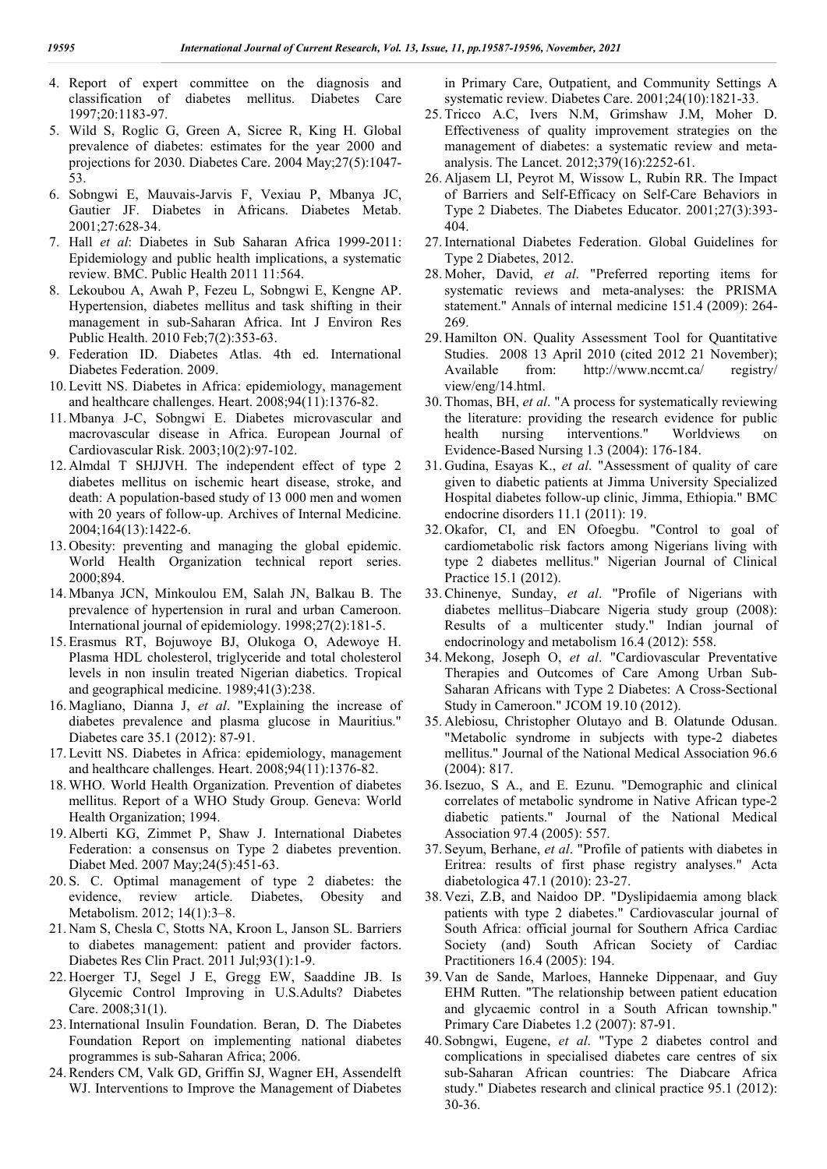- 4. Report of expert committee on the diagnosis and classification of diabetes mellitus. Diabetes Care 1997;20:1183-97.
- 5. Wild S, Roglic G, Green A, Sicree R, King H. Global prevalence of diabetes: estimates for the year 2000 and projections for 2030. Diabetes Care. 2004 May;27(5):1047- 53.
- 6. Sobngwi E, Mauvais-Jarvis F, Vexiau P, Mbanya JC, Gautier JF. Diabetes in Africans. Diabetes Metab. 2001;27:628-34.
- 7. Hall *et al*: Diabetes in Sub Saharan Africa 1999-2011: Epidemiology and public health implications, a systematic review. BMC. Public Health 2011 11:564.
- 8. Lekoubou A, Awah P, Fezeu L, Sobngwi E, Kengne AP. Hypertension, diabetes mellitus and task shifting in their management in sub-Saharan Africa. Int J Environ Res Public Health. 2010 Feb;7(2):353-63.
- 9. Federation ID. Diabetes Atlas. 4th ed. International Diabetes Federation. 2009.
- 10. Levitt NS. Diabetes in Africa: epidemiology, management and healthcare challenges. Heart. 2008;94(11):1376-82.
- 11. Mbanya J-C, Sobngwi E. Diabetes microvascular and macrovascular disease in Africa. European Journal of Cardiovascular Risk. 2003;10(2):97-102.
- 12. Almdal T SHJJVH. The independent effect of type 2 diabetes mellitus on ischemic heart disease, stroke, and death: A population-based study of 13 000 men and women with 20 years of follow-up. Archives of Internal Medicine. 2004;164(13):1422-6.
- 13. Obesity: preventing and managing the global epidemic. World Health Organization technical report series. 2000;894.
- 14. Mbanya JCN, Minkoulou EM, Salah JN, Balkau B. The prevalence of hypertension in rural and urban Cameroon. International journal of epidemiology. 1998;27(2):181-5.
- 15. Erasmus RT, Bojuwoye BJ, Olukoga O, Adewoye H. Plasma HDL cholesterol, triglyceride and total cholesterol levels in non insulin treated Nigerian diabetics. Tropical and geographical medicine. 1989;41(3):238.
- 16. Magliano, Dianna J, *et al*. "Explaining the increase of diabetes prevalence and plasma glucose in Mauritius." Diabetes care 35.1 (2012): 87-91.
- 17. Levitt NS. Diabetes in Africa: epidemiology, management and healthcare challenges. Heart. 2008;94(11):1376-82.
- 18. WHO. World Health Organization. Prevention of diabetes mellitus. Report of a WHO Study Group. Geneva: World Health Organization; 1994.
- 19. Alberti KG, Zimmet P, Shaw J. International Diabetes Federation: a consensus on Type 2 diabetes prevention. Diabet Med. 2007 May;24(5):451-63.
- 20. S. C. Optimal management of type 2 diabetes: the evidence, review article. Diabetes, Obesity and Metabolism. 2012; 14(1):3–8.
- 21. Nam S, Chesla C, Stotts NA, Kroon L, Janson SL. Barriers to diabetes management: patient and provider factors. Diabetes Res Clin Pract. 2011 Jul;93(1):1-9.
- 22. Hoerger TJ, Segel J E, Gregg EW, Saaddine JB. Is Glycemic Control Improving in U.S.Adults? Diabetes Care. 2008;31(1).
- 23.International Insulin Foundation. Beran, D. The Diabetes Foundation Report on implementing national diabetes programmes is sub-Saharan Africa; 2006.
- 24.Renders CM, Valk GD, Griffin SJ, Wagner EH, Assendelft WJ. Interventions to Improve the Management of Diabetes

in Primary Care, Outpatient, and Community Settings A systematic review. Diabetes Care. 2001;24(10):1821-33.

- 25. Tricco A.C, Ivers N.M, Grimshaw J.M, Moher D. Effectiveness of quality improvement strategies on the management of diabetes: a systematic review and metaanalysis. The Lancet. 2012;379(16):2252-61.
- 26. Aljasem LI, Peyrot M, Wissow L, Rubin RR. The Impact of Barriers and Self-Efficacy on Self-Care Behaviors in Type 2 Diabetes. The Diabetes Educator. 2001;27(3):393- 404.
- 27.International Diabetes Federation. Global Guidelines for Type 2 Diabetes, 2012.
- 28. Moher, David, *et al*. "Preferred reporting items for systematic reviews and meta-analyses: the PRISMA statement." Annals of internal medicine 151.4 (2009): 264- 269.
- 29. Hamilton ON. Quality Assessment Tool for Quantitative Studies. 2008 13 April 2010 (cited 2012 21 November); Available from: http://www.nccmt.ca/ registry/ view/eng/14.html.
- 30. Thomas, BH, *et al*. "A process for systematically reviewing the literature: providing the research evidence for public health nursing interventions." Worldviews on Evidence‐Based Nursing 1.3 (2004): 176-184.
- 31. Gudina, Esayas K., *et al*. "Assessment of quality of care given to diabetic patients at Jimma University Specialized Hospital diabetes follow-up clinic, Jimma, Ethiopia." BMC endocrine disorders 11.1 (2011): 19.
- 32. Okafor, CI, and EN Ofoegbu. "Control to goal of cardiometabolic risk factors among Nigerians living with type 2 diabetes mellitus." Nigerian Journal of Clinical Practice 15.1 (2012).
- 33.Chinenye, Sunday, *et al*. "Profile of Nigerians with diabetes mellitus–Diabcare Nigeria study group (2008): Results of a multicenter study." Indian journal of endocrinology and metabolism 16.4 (2012): 558.
- 34. Mekong, Joseph O, *et al*. "Cardiovascular Preventative Therapies and Outcomes of Care Among Urban Sub-Saharan Africans with Type 2 Diabetes: A Cross-Sectional Study in Cameroon." JCOM 19.10 (2012).
- 35. Alebiosu, Christopher Olutayo and B. Olatunde Odusan. "Metabolic syndrome in subjects with type-2 diabetes mellitus." Journal of the National Medical Association 96.6 (2004): 817.
- 36.Isezuo, S A., and E. Ezunu. "Demographic and clinical correlates of metabolic syndrome in Native African type-2 diabetic patients." Journal of the National Medical Association 97.4 (2005): 557.
- 37. Seyum, Berhane, *et al*. "Profile of patients with diabetes in Eritrea: results of first phase registry analyses." Acta diabetologica 47.1 (2010): 23-27.
- 38. Vezi, Z.B, and Naidoo DP. "Dyslipidaemia among black patients with type 2 diabetes." Cardiovascular journal of South Africa: official journal for Southern Africa Cardiac Society (and) South African Society of Cardiac Practitioners 16.4 (2005): 194.
- 39. Van de Sande, Marloes, Hanneke Dippenaar, and Guy EHM Rutten. "The relationship between patient education and glycaemic control in a South African township." Primary Care Diabetes 1.2 (2007): 87-91.
- 40. Sobngwi, Eugene, *et al*. "Type 2 diabetes control and complications in specialised diabetes care centres of six sub-Saharan African countries: The Diabcare Africa study." Diabetes research and clinical practice 95.1 (2012): 30-36.